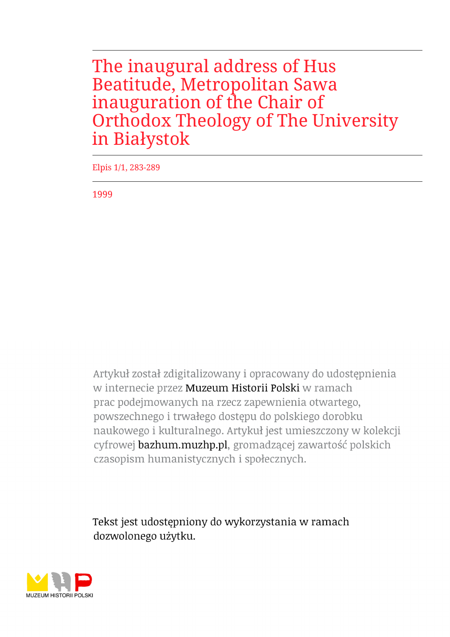The inaugural address of Hus Beatitude, Metropolitan Sawa inauguration of the Chair of Orthodox Theology of The University in Białystok

Elpis 1/1, 283-289

1999

Artykuł został zdigitalizowany i opracowany do udostępnienia w internecie przez Muzeum Historii Polski w ramach prac podejmowanych na rzecz zapewnienia otwartego, powszechnego i trwałego dostępu do polskiego dorobku naukowego i kulturalnego. Artykuł jest umieszczony w kolekcji cyfrowej bazhum.muzhp.pl, gromadzącej zawartość polskich czasopism humanistycznych i społecznych.

Tekst jest udostępniony do wykorzystania w ramach dozwolonego użytku.

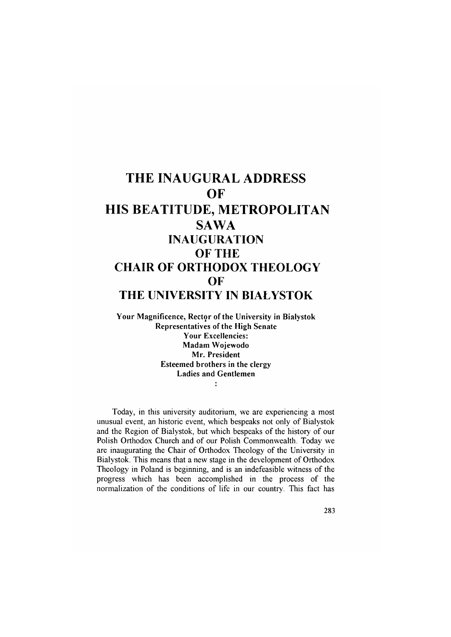## **THE INAUGURAL ADDRESS OF HIS BEATITUDE, METROPOLITAN SAWA INAUGURATION OF THE CHAIR OF ORTHODOX THEOLOGY OF THE UNIVERSITY IN BIAŁYSTOK**

**Your Magnificence, Rector of the University in Białystok Representatives of the High Senate Your Excellencies: Madam Wojewodo Mr. President Esteemed brothers in the clergy Ladies and Gentlemen**  $\ddot{\cdot}$ 

Today, in this university auditorium, we are experiencing a most unusual event, an historic event, which bespeaks not only of Białystok and the Region of Białystok, but which bespeaks of the history of our Polish Orthodox Church and of our Polish Commonwealth. Today we are inaugurating the Chair of Orthodox Theology of the University in Białystok. This means that a new stage in the development of Orthodox Theology in Poland is beginning, and is an indefeasible witness of the progress which has been accomplished in the process of the normalization of the conditions of life in our country. This fact has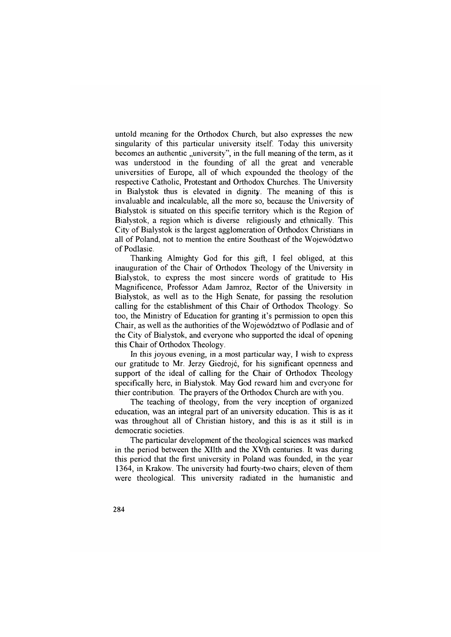untold meaning for the Orthodox Church, but also expresses the new singularity of this particular university itself. Today this university becomes an authentic "university", in the full meaning of the term, as it was understood in the founding of all the great and venerable universities of Europe, all of which expounded the theology of the respective Catholic, Protestant and Orthodox Churches. The University in Białystok thus is elevated in dignity. The meaning of this is invaluable and incalculable, all the more so, because the University of Białystok is situated on this specific territory which is the Region of Białystok, a region which is diverse religiously and ethnically. This City of Białystok is the largest agglomeration of Orthodox Christians in all of Poland, not to mention the entire Southeast of the Województwo of Podlasie.

Thanking Almighty God for this gift, I feel obliged, at this inauguration of the Chair of Orthodox Theology of the University in Białystok, to express the most sincere words of gratitude to His Magnificence, Professor Adam Jamroz, Rector of the University in Białystok, as well as to the High Senate, for passing the resolution calling for the establishment of this Chair of Orthodox Theology. So too, the Ministry of Education for granting it's permission to open this Chair, as well as the authorities of the Województwo of Podlasie and of the City of Białystok, and everyone who supported the ideal of opening this Chair of Orthodox Theology.

In this joyous evening, in a most particular way, I wish to express our gratitude to Mr. Jerzy Giedrojć, for his significant openness and support of the ideal of calling for the Chair of Orthodox Theology specifically here, in Białystok. May God reward him and everyone for thier contribution. The prayers of the Orthodox Church are with you.

The teaching of theology, from the very inception of organized education, was an integral part of an university education. This is as it was throughout all of Christian history, and this is as it still is in democratic societies.

The particular development of the theological sciences was marked in the period between the XHth and the XVth centuries. It was during this period that the first university in Poland was founded, in the year 1364, in Krakow. The university had fourty-two chairs; eleven of them were theological. This university radiated in the humanistic and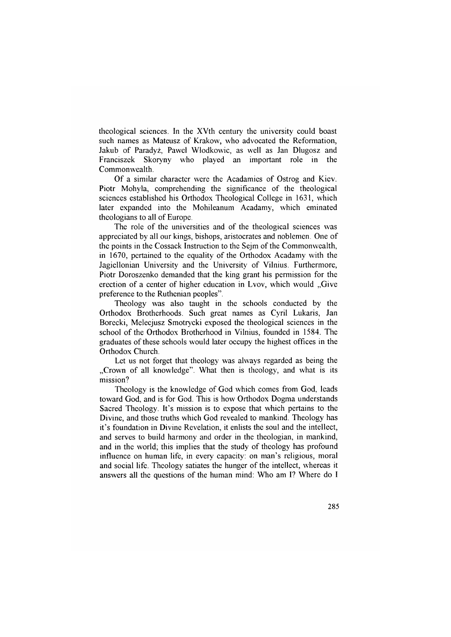theological sciences. In the XVth century the university could boast such names as Mateusz of Krakow, who advocated the Reformation, Jakub of Paradyż, Pawel Włodkowic, as well as Jan Długosz and Franciszek Skoryny who played an important role in the Commonwealth.

Of a similar character were the Acadamies of Ostrog and Kiev. Piotr Mohyla, comprehending the significance of the theological sciences established his Orthodox Theological College in 1631, which later expanded into the Mohileanum Acadamy, which eminated theologians to all of Europe.

The role of the universities and of the theological sciences was appreciated by all our kings, bishops, aristocrates and noblemen. One of the points in the Cossack Instruction to the Sejm of the Commonwealth, in 1670, pertained to the equality of the Orthodox Acadamy with the Jagiellonian University and the University of Vilnius. Furthermore, Piotr Doroszenko demanded that the king grant his permission for the erection of a center of higher education in Lvov, which would ..Give preference to the Ruthenian peoples".

Theology was also taught in the schools conducted by the Orthodox Brotherhoods. Such great names as Cyril Lukaris, Jan Borecki, Melecjusz Smotrycki exposed the theological sciences in the school of the Orthodox Brotherhood in Vilnius, founded in 1584. The graduates of these schools would later occupy the highest offices in the Orthodox Church.

Let us not forget that theology was always regarded as being the "Crown of all knowledge". What then is theology, and what is its mission?

Theology is the knowledge of God which comes from God, leads toward God, and is for God. This is how Orthodox Dogma understands Sacred Theology. It's mission is to expose that which pertains to the Divine, and those truths which God revealed to mankind. Theology has it's foundation in Divine Revelation, it enlists the soul and the intellect, and serves to build harmony and order in the theologian, in mankind, and in the world; this implies that the study of theology has profound influence on human life, in every capacity; on man's religious, moral and social life. Theology satiates the hunger of the intellect, whereas it answers all the questions of the human mind: Who am I? Where do I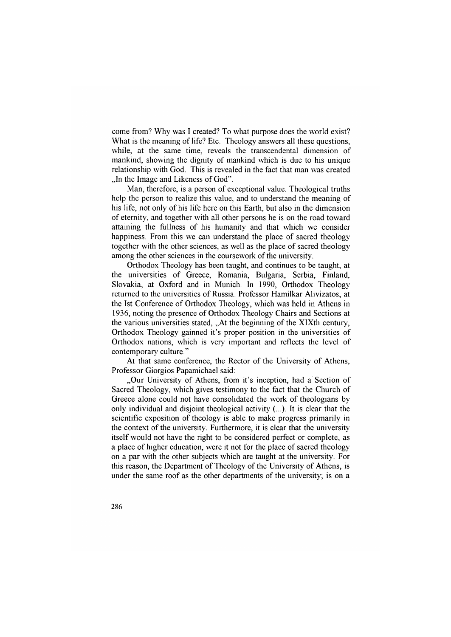come from? Why was I created? To what purpose does the world exist? What is the meaning of life? Etc. Theology answers all these questions, while, at the same time, reveals the transcendental dimension of mankind, showing the dignity of mankind which is due to his unique relationship with God. This is revealed in the fact that man was created ..In the Image and Likeness of God".

Man, therefore, is a person of exceptional value. Theological truths help the person to realize this value, and to understand the meaning of his life, not only of his life here on this Earth, but also in the dimension of eternity, and together with all other persons he is on the road toward attaining the fullness of his humanity and that which we consider happiness. From this we can understand the place of sacred theology together with the other sciences, as well as the place of sacred theology among the other sciences in the coursework of the university.

Orthodox Theology has been taught, and continues to be taught, at the universities of Greece, Romania, Bulgaria, Serbia, Finland, Slovakia, at Oxford and in Munich. In 1990, Orthodox Theology returned to the universities of Russia. Professor Hamilkar Alivizatos, at the Ist Conference of Orthodox Theology, which was held in Athens in 1936, noting the presence of Orthodox Theology Chairs and Sections at the various universities stated, "At the beginning of the XIXth century, Orthodox Theology gainned it's proper position in the universities of Orthodox nations, which is very important and reflects the level of contemporary culture."

At that same conference, the Rector of the University of Athens, Professor Giorgios Papamichael said:

"Our University of Athens, from it's inception, had a Section of Sacred Theology, which gives testimony to the fact that the Church of Greece alone could not have consolidated the work of theologians by only individual and disjoint theological activity (...). It is clear that the scientific exposition of theology is able to make progress primarily in the context of the university. Furthermore, it is clear that the university itself would not have the right to be considered perfect or complete, as a place of higher education, were it not for the place of sacred theology on a par with the other subjects which are taught at the university. For this reason, the Department of Theology of the University of Athens, is under the same roof as the other departments of the university; is on a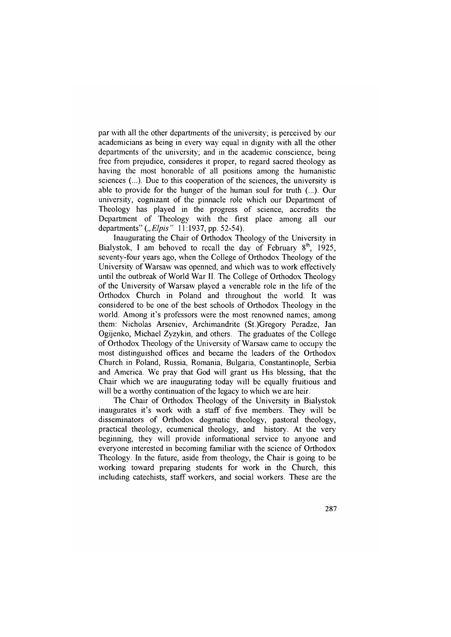par with all the other departments of the university; is perceived by our academicians as being in every way equal in dignity with all the other departments of the university; and in the academic conscience, being free from prejudice, consideres it proper, to regard sacred theology as having the most honorable of all positions among the humanistic sciences (...). Due to this cooperation of the sciences, the university is able to provide for the hunger of the human soul for truth  $(...)$ . Our university, cognizant of the pinnacle role which our Department of Theology has played in the progress of science, accredits the Department of Theology with the first place among all our departments" *("Elpis*" 11:1937, pp. 52-54).

Inaugurating the Chair of Orthodox Theology of the University in Białystok, I am behoved to recall the day of February  $8<sup>th</sup>$ , 1925, seventy-four years ago, when the College of Orthodox Theology of the University of Warsaw was openned, and which was to work effectively until the outbreak of World War II. The College of Orthodox Theology of the University of Warsaw played a venerable role in the life of the Orthodox Church in Poland and throughout the world. It was considered to be one of the best schools of Orthodox Theology in the world. Among it's professors were the most renowned names; among them: Nicholas Arseniev, Archimandrite (St.)Gregory Peradze, Jan Ogijenko, Michael Zyzykin, and others. The graduates of the College of Orthodox Theology of the University of Warsaw came to occupy the most distinguished offices and became the leaders of the Orthodox Church in Poland, Russia, Romania, Bulgaria, Constantinople, Serbia and America. We pray that God will grant us His blessing, that the Chair which we are inaugurating today will be equally fruitious and will be a worthy continuation of the legacy to which we are heir.

The Chair of Orthodox Theology of the University in Białystok inaugurates it's work with a staff of five members. They will be disseminators of Orthodox dogmatic theology, pastoral theology, practical theology, ecumenical theology, and history. At the very beginning, they will provide informational service to anyone and everyone interested in becoming familiar with the science of Orthodox Theology. In the future, aside from theology, the Chair is going to be working toward preparing students for work in the Church, this including catechists, staff workers, and social workers. These are the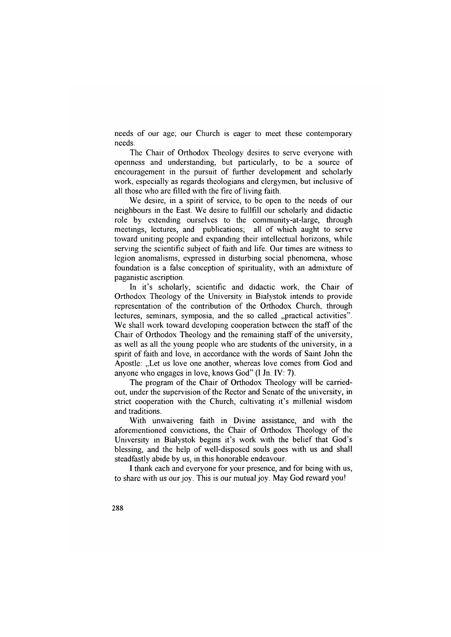needs of our age; our Church is eager to meet these contemporary needs.

The Chair of Orthodox Theology desires to serve everyone with openness and understanding, but particularly, to be a source of encouragement in the pursuit of further development and scholarly work, especially as regards theologians and clergymen, but inclusive of all those who are filled with the fire of living faith.

We desire, in a spirit of service, to be open to the needs of our neighbours in the East. We desire to fullfill our scholarly and didactic role by extending ourselves to the community-at-large, through meetings, lectures, and publications; all of which aught to serve toward uniting people and expanding their intellectual horizons, while serving the scientific subject of faith and life. Our times are witness to legion anomalisms, expressed in disturbing social phenomena, whose foundation is a false conception of spirituality, with an admixture of paganistic ascription.

In it's scholarly, scientific and didactic work, the Chair of Orthodox Theology of the University in Białystok intends to provide representation of the contribution of the Orthodox Church, through lectures, seminars, symposia, and the so called "practical activities". We shall work toward developing cooperation between the staff of the Chair of Orthodox Theology and the remaining staff of the university, as well as all the young people who are students of the university, in a spirit of faith and love, in accordance with the words of Saint John the Apostle: "Let us love one another, whereas love comes from God and anyone who engages in love, knows God" (I Jn. IV: 7).

The program of the Chair of Orthodox Theology will be carriedout, under the supervision of the Rector and Senate of the university, in strict cooperation with the Church, cultivating it's millenial wisdom and traditions.

With unwaivering faith in Divine assistance, and with the aforementioned convictions, the Chair of Orthodox Theology of the University in Białystok begins it's work with the belief that God's blessing, and the help of well-disposed souls goes with us and shall steadfastly abide by us, in this honorable endeavour.

I thank each and everyone for your presence, and for being with us, to share with us our joy. This is our mutual joy. May God reward you!